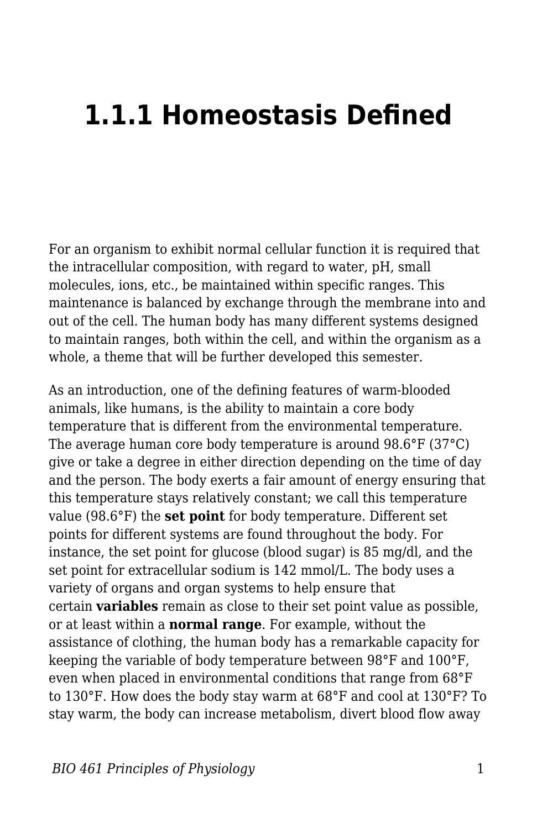## **1.1.1 Homeostasis Defined**

For an organism to exhibit normal cellular function it is required that the intracellular composition, with regard to water, pH, small molecules, ions, etc., be maintained within specific ranges. This maintenance is balanced by exchange through the membrane into and out of the cell. The human body has many different systems designed to maintain ranges, both within the cell, and within the organism as a whole, a theme that will be further developed this semester.

As an introduction, one of the defining features of warm-blooded animals, like humans, is the ability to maintain a core body temperature that is different from the environmental temperature. The average human core body temperature is around 98.6°F (37°C) give or take a degree in either direction depending on the time of day and the person. The body exerts a fair amount of energy ensuring that this temperature stays relatively constant; we call this temperature value (98.6°F) the **set point** for body temperature. Different set points for different systems are found throughout the body. For instance, the set point for glucose (blood sugar) is 85 mg/dl, and the set point for extracellular sodium is 142 mmol/L. The body uses a variety of organs and organ systems to help ensure that certain **variables** remain as close to their set point value as possible, or at least within a **normal range**. For example, without the assistance of clothing, the human body has a remarkable capacity for keeping the variable of body temperature between 98°F and 100°F, even when placed in environmental conditions that range from 68°F to 130°F. How does the body stay warm at 68°F and cool at 130°F? To stay warm, the body can increase metabolism, divert blood flow away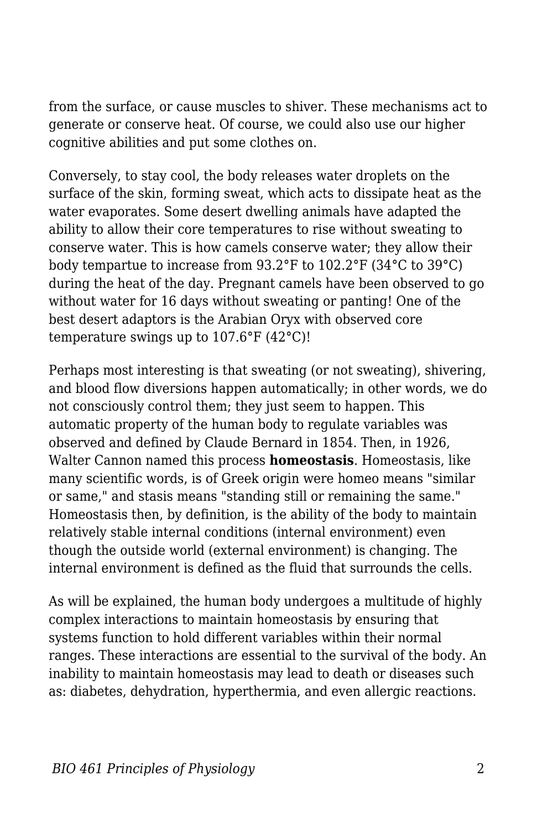from the surface, or cause muscles to shiver. These mechanisms act to generate or conserve heat. Of course, we could also use our higher cognitive abilities and put some clothes on.

Conversely, to stay cool, the body releases water droplets on the surface of the skin, forming sweat, which acts to dissipate heat as the water evaporates. Some desert dwelling animals have adapted the ability to allow their core temperatures to rise without sweating to conserve water. This is how camels conserve water; they allow their body tempartue to increase from 93.2°F to 102.2°F (34°C to 39°C) during the heat of the day. Pregnant camels have been observed to go without water for 16 days without sweating or panting! One of the best desert adaptors is the Arabian Oryx with observed core temperature swings up to 107.6°F (42°C)!

Perhaps most interesting is that sweating (or not sweating), shivering, and blood flow diversions happen automatically; in other words, we do not consciously control them; they just seem to happen. This automatic property of the human body to regulate variables was observed and defined by Claude Bernard in 1854. Then, in 1926, Walter Cannon named this process **homeostasis**. Homeostasis, like many scientific words, is of Greek origin were homeo means "similar or same," and stasis means "standing still or remaining the same." Homeostasis then, by definition, is the ability of the body to maintain relatively stable internal conditions (internal environment) even though the outside world (external environment) is changing. The internal environment is defined as the fluid that surrounds the cells.

As will be explained, the human body undergoes a multitude of highly complex interactions to maintain homeostasis by ensuring that systems function to hold different variables within their normal ranges. These interactions are essential to the survival of the body. An inability to maintain homeostasis may lead to death or diseases such as: diabetes, dehydration, hyperthermia, and even allergic reactions.